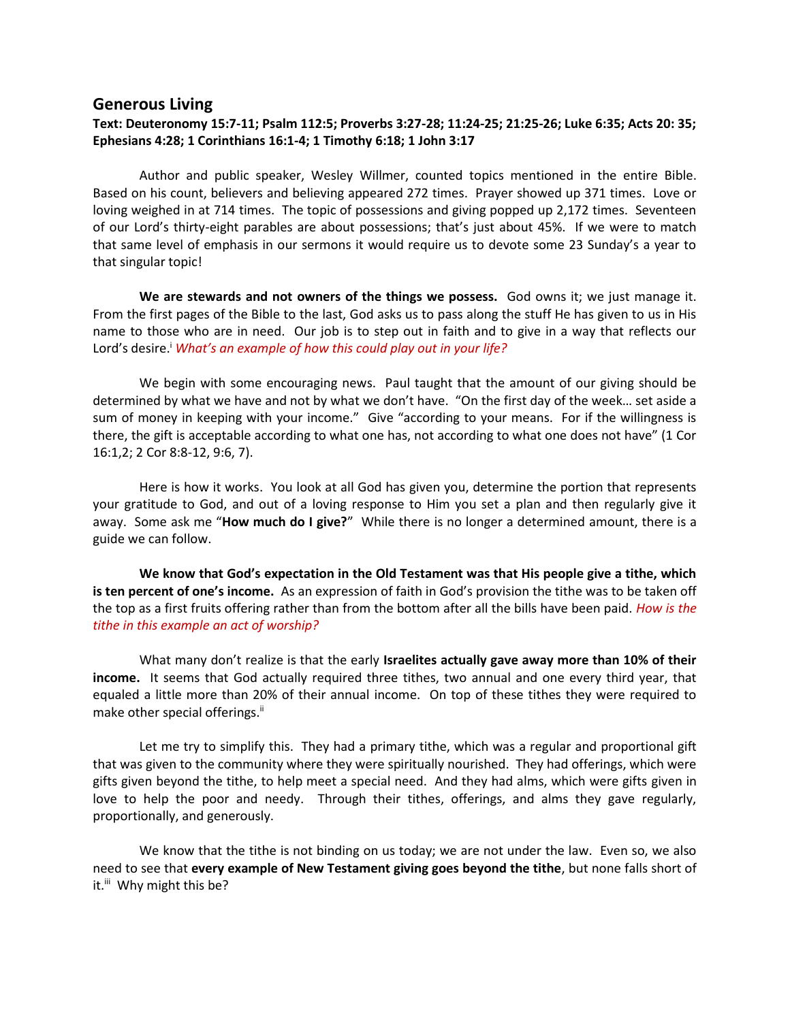## **Generous Living**

## **Text: Deuteronomy 15:7-11; Psalm 112:5; Proverbs 3:27-28; 11:24-25; 21:25-26; Luke 6:35; Acts 20: 35; Ephesians 4:28; 1 Corinthians 16:1-4; 1 Timothy 6:18; 1 John 3:17**

Author and public speaker, Wesley Willmer, counted topics mentioned in the entire Bible. Based on his count, believers and believing appeared 272 times. Prayer showed up 371 times. Love or loving weighed in at 714 times. The topic of possessions and giving popped up 2,172 times. Seventeen of our Lord's thirty-eight parables are about possessions; that's just about 45%. If we were to match that same level of emphasis in our sermons it would require us to devote some 23 Sunday's a year to that singular topic!

**We are stewards and not owners of the things we possess.** God owns it; we just manage it. From the first pages of the Bible to the last, God asks us to pass along the stuff He has given to us in His name to those who are in need. Our job is to step out in faith and to give in a way that reflects our Lord's desire.<sup>*i*</sup> *What's an example of how this could play out in your life?* 

We begin with some encouraging news. Paul taught that the amount of our giving should be determined by what we have and not by what we don't have. "On the first day of the week… set aside a sum of money in keeping with your income." Give "according to your means. For if the willingness is there, the gift is acceptable according to what one has, not according to what one does not have" (1 Cor 16:1,2; 2 Cor 8:8-12, 9:6, 7).

Here is how it works. You look at all God has given you, determine the portion that represents your gratitude to God, and out of a loving response to Him you set a plan and then regularly give it away. Some ask me "**How much do I give?**" While there is no longer a determined amount, there is a guide we can follow.

**We know that God's expectation in the Old Testament was that His people give a tithe, which is ten percent of one's income.** As an expression of faith in God's provision the tithe was to be taken off the top as a first fruits offering rather than from the bottom after all the bills have been paid. *How is the tithe in this example an act of worship?*

What many don't realize is that the early **Israelites actually gave away more than 10% of their income.** It seems that God actually required three tithes, two annual and one every third year, that equaled a little more than 20% of their annual income. On top of these tithes they were required to make other special offerings.<sup>ii</sup>

Let me try to simplify this. They had a primary tithe, which was a regular and proportional gift that was given to the community where they were spiritually nourished. They had offerings, which were gifts given beyond the tithe, to help meet a special need. And they had alms, which were gifts given in love to help the poor and needy. Through their tithes, offerings, and alms they gave regularly, proportionally, and generously.

We know that the tithe is not binding on us today; we are not under the law. Even so, we also need to see that **every example of New Testament giving goes beyond the tithe**, but none falls short of it.<sup>iii</sup> Why might this be?